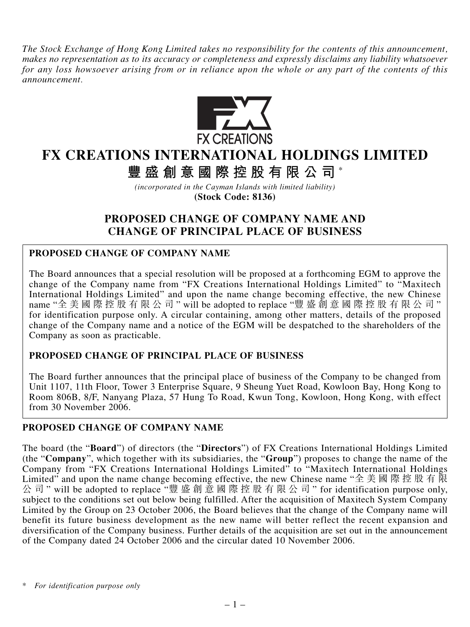*The Stock Exchange of Hong Kong Limited takes no responsibility for the contents of this announcement, makes no representation as to its accuracy or completeness and expressly disclaims any liability whatsoever for any loss howsoever arising from or in reliance upon the whole or any part of the contents of this announcement.*



# **FX CREATIONS INTERNATIONAL HOLDINGS LIMITED**

**豐盛創意國際控股有限公司** \*

*(incorporated in the Cayman Islands with limited liability)* **(Stock Code: 8136)**

# **PROPOSED CHANGE OF COMPANY NAME AND CHANGE OF PRINCIPAL PLACE OF BUSINESS**

## **PROPOSED CHANGE OF COMPANY NAME**

The Board announces that a special resolution will be proposed at a forthcoming EGM to approve the change of the Company name from "FX Creations International Holdings Limited" to "Maxitech International Holdings Limited" and upon the name change becoming effective, the new Chinese name "全美國際控股有限公司" will be adopted to replace "豐盛創意國際控股有限公司" for identification purpose only. A circular containing, among other matters, details of the proposed change of the Company name and a notice of the EGM will be despatched to the shareholders of the Company as soon as practicable.

### **PROPOSED CHANGE OF PRINCIPAL PLACE OF BUSINESS**

The Board further announces that the principal place of business of the Company to be changed from Unit 1107, 11th Floor, Tower 3 Enterprise Square, 9 Sheung Yuet Road, Kowloon Bay, Hong Kong to Room 806B, 8/F, Nanyang Plaza, 57 Hung To Road, Kwun Tong, Kowloon, Hong Kong, with effect from 30 November 2006.

### **PROPOSED CHANGE OF COMPANY NAME**

The board (the "**Board**") of directors (the "**Directors**") of FX Creations International Holdings Limited (the "**Company**", which together with its subsidiaries, the "**Group**") proposes to change the name of the Company from "FX Creations International Holdings Limited" to "Maxitech International Holdings Limited" and upon the name change becoming effective, the new Chinese name "全美國際控股有限 公 司 " will be adopted to replace "豐盛創意國際控股有限公司 " for identification purpose only, subject to the conditions set out below being fulfilled. After the acquisition of Maxitech System Company Limited by the Group on 23 October 2006, the Board believes that the change of the Company name will benefit its future business development as the new name will better reflect the recent expansion and diversification of the Company business. Further details of the acquisition are set out in the announcement of the Company dated 24 October 2006 and the circular dated 10 November 2006.

*<sup>\*</sup> For identification purpose only*